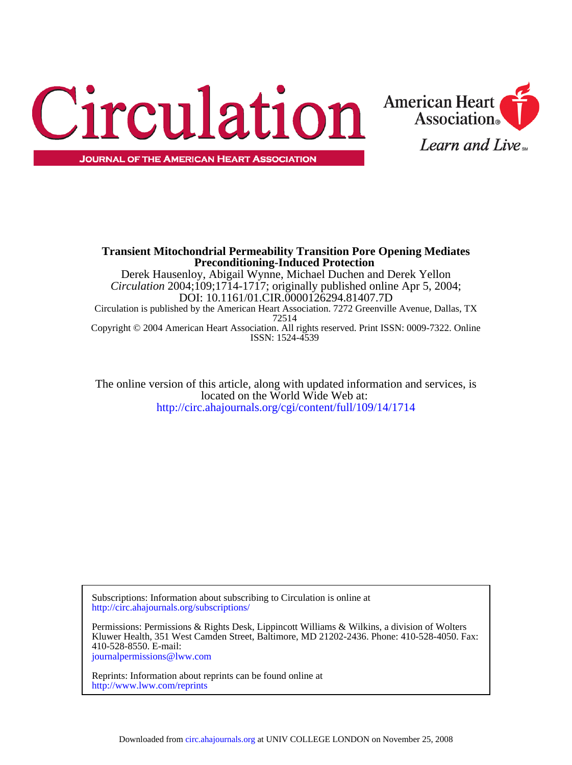



ISSN: 1524-4539 Copyright © 2004 American Heart Association. All rights reserved. Print ISSN: 0009-7322. Online 72514 Circulation is published by the American Heart Association. 7272 Greenville Avenue, Dallas, TX DOI: 10.1161/01.CIR.0000126294.81407.7D *Circulation* 2004;109;1714-1717; originally published online Apr 5, 2004; Derek Hausenloy, Abigail Wynne, Michael Duchen and Derek Yellon **Preconditioning-Induced Protection Transient Mitochondrial Permeability Transition Pore Opening Mediates**

<http://circ.ahajournals.org/cgi/content/full/109/14/1714> located on the World Wide Web at: The online version of this article, along with updated information and services, is

<http://circ.ahajournals.org/subscriptions/> Subscriptions: Information about subscribing to Circulation is online at

[journalpermissions@lww.com](mailto:journalpermissions@lww.com) 410-528-8550. E-mail: Kluwer Health, 351 West Camden Street, Baltimore, MD 21202-2436. Phone: 410-528-4050. Fax: Permissions: Permissions & Rights Desk, Lippincott Williams & Wilkins, a division of Wolters

<http://www.lww.com/reprints> Reprints: Information about reprints can be found online at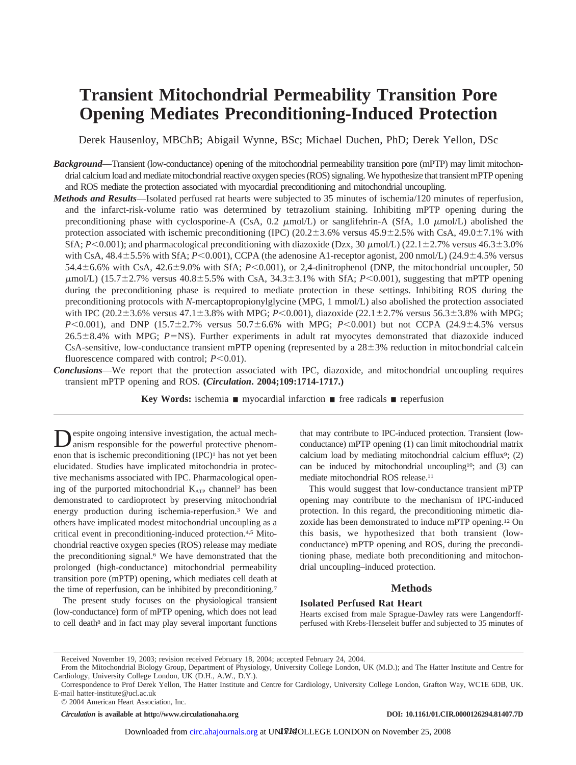# **Transient Mitochondrial Permeability Transition Pore Opening Mediates Preconditioning-Induced Protection**

Derek Hausenloy, MBChB; Abigail Wynne, BSc; Michael Duchen, PhD; Derek Yellon, DSc

- *Background*—Transient (low-conductance) opening of the mitochondrial permeability transition pore (mPTP) may limit mitochondrial calcium load and mediate mitochondrial reactive oxygen species (ROS) signaling. We hypothesize that transient mPTP opening and ROS mediate the protection associated with myocardial preconditioning and mitochondrial uncoupling.
- *Methods and Results*—Isolated perfused rat hearts were subjected to 35 minutes of ischemia/120 minutes of reperfusion, and the infarct-risk-volume ratio was determined by tetrazolium staining. Inhibiting mPTP opening during the preconditioning phase with cyclosporine-A (CsA, 0.2  $\mu$ mol/L) or sanglifehrin-A (SfA, 1.0  $\mu$ mol/L) abolished the protection associated with ischemic preconditioning (IPC)  $(20.2 \pm 3.6\%$  versus  $45.9 \pm 2.5\%$  with CsA,  $49.0 \pm 7.1\%$  with SfA;  $P \le 0.001$ ); and pharmacological preconditioning with diazoxide (Dzx, 30  $\mu$ mol/L) (22.1±2.7% versus 46.3±3.0% with CsA,  $48.4 \pm 5.5\%$  with SfA;  $P \le 0.001$ ), CCPA (the adenosine A1-receptor agonist, 200 nmol/L) (24.9 $\pm 4.5\%$  versus  $54.4 \pm 6.6\%$  with CsA,  $42.6 \pm 9.0\%$  with SfA;  $P \le 0.001$ ), or 2,4-dinitrophenol (DNP, the mitochondrial uncoupler, 50  $\mu$ mol/L) (15.7±2.7% versus 40.8±5.5% with CsA, 34.3±3.1% with SfA; *P*<0.001), suggesting that mPTP opening during the preconditioning phase is required to mediate protection in these settings. Inhibiting ROS during the preconditioning protocols with *N*-mercaptopropionylglycine (MPG, 1 mmol/L) also abolished the protection associated with IPC  $(20.2 \pm 3.6\%$  versus  $47.1 \pm 3.8\%$  with MPG;  $P \le 0.001$ ), diazoxide  $(22.1 \pm 2.7\%$  versus  $56.3 \pm 3.8\%$  with MPG;  $P \le 0.001$ ), and DNP (15.7 $\pm$ 2.7% versus 50.7 $\pm$ 6.6% with MPG;  $P \le 0.001$ ) but not CCPA (24.9 $\pm$ 4.5% versus  $26.5\pm8.4\%$  with MPG; *P*=NS). Further experiments in adult rat myocytes demonstrated that diazoxide induced CsA-sensitive, low-conductance transient mPTP opening (represented by a  $28\pm3%$  reduction in mitochondrial calcein fluorescence compared with control;  $P \leq 0.01$ ).
- *Conclusions*—We report that the protection associated with IPC, diazoxide, and mitochondrial uncoupling requires transient mPTP opening and ROS. **(***Circulation***. 2004;109:1714-1717.)**

**Key Words:** ischemia  $\blacksquare$  myocardial infarction  $\blacksquare$  free radicals  $\blacksquare$  reperfusion

Despite ongoing intensive investigation, the actual mechanism responsible for the powerful protective phenomenon that is ischemic preconditioning (IPC)<sup>1</sup> has not yet been elucidated. Studies have implicated mitochondria in protective mechanisms associated with IPC. Pharmacological opening of the purported mitochondrial  $K_{ATP}$  channel<sup>2</sup> has been demonstrated to cardioprotect by preserving mitochondrial energy production during ischemia-reperfusion.3 We and others have implicated modest mitochondrial uncoupling as a critical event in preconditioning-induced protection.4,5 Mitochondrial reactive oxygen species (ROS) release may mediate the preconditioning signal.6 We have demonstrated that the prolonged (high-conductance) mitochondrial permeability transition pore (mPTP) opening, which mediates cell death at the time of reperfusion, can be inhibited by preconditioning.7

The present study focuses on the physiological transient (low-conductance) form of mPTP opening, which does not lead to cell death<sup>8</sup> and in fact may play several important functions that may contribute to IPC-induced protection. Transient (lowconductance) mPTP opening (1) can limit mitochondrial matrix calcium load by mediating mitochondrial calcium efflux $9$ ; (2) can be induced by mitochondrial uncoupling10; and (3) can mediate mitochondrial ROS release.11

This would suggest that low-conductance transient mPTP opening may contribute to the mechanism of IPC-induced protection. In this regard, the preconditioning mimetic diazoxide has been demonstrated to induce mPTP opening.12 On this basis, we hypothesized that both transient (lowconductance) mPTP opening and ROS, during the preconditioning phase, mediate both preconditioning and mitochondrial uncoupling–induced protection.

# **Methods**

#### **Isolated Perfused Rat Heart**

Hearts excised from male Sprague-Dawley rats were Langendorffperfused with Krebs-Henseleit buffer and subjected to 35 minutes of

*Circulation* is available at http://www.circulationaha.org DOI: 10.1161/01.CIR.0000126294.81407.7D

Received November 19, 2003; revision received February 18, 2004; accepted February 24, 2004.

From the Mitochondrial Biology Group, Department of Physiology, University College London, UK (M.D.); and The Hatter Institute and Centre for Cardiology, University College London, UK (D.H., A.W., D.Y.).

Correspondence to Prof Derek Yellon, The Hatter Institute and Centre for Cardiology, University College London, Grafton Way, WC1E 6DB, UK. E-mail hatter-institute@ucl.ac.uk

<sup>© 2004</sup> American Heart Association, Inc.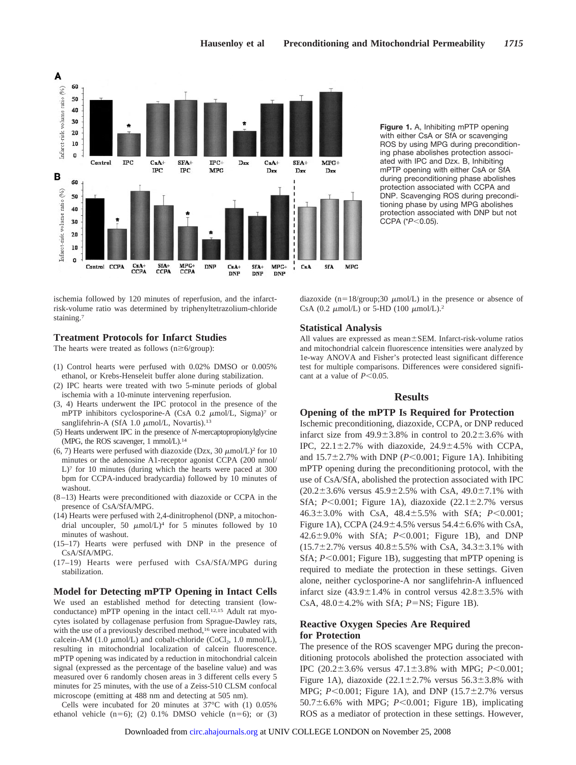

ischemia followed by 120 minutes of reperfusion, and the infarctrisk-volume ratio was determined by triphenyltetrazolium-chloride staining.7

# **Treatment Protocols for Infarct Studies**

The hearts were treated as follows  $(n \ge 6/\text{group})$ :

- (1) Control hearts were perfused with 0.02% DMSO or 0.005% ethanol, or Krebs-Henseleit buffer alone during stabilization.
- (2) IPC hearts were treated with two 5-minute periods of global ischemia with a 10-minute intervening reperfusion.
- (3, 4) Hearts underwent the IPC protocol in the presence of the mPTP inhibitors cyclosporine-A (CsA 0.2  $\mu$ mol/L, Sigma)<sup>7</sup> or sanglifehrin-A (SfA 1.0  $\mu$ mol/L, Novartis).<sup>13</sup>
- (5) Hearts underwent IPC in the presence of *N*-mercaptopropionylglycine (MPG, the ROS scavenger, 1 mmol/L).14
- (6, 7) Hearts were perfused with diazoxide (Dzx, 30  $\mu$ mol/L)<sup>2</sup> for 10 minutes or the adenosine A1-receptor agonist CCPA (200 nmol/ L)<sup>7</sup> for 10 minutes (during which the hearts were paced at 300 bpm for CCPA-induced bradycardia) followed by 10 minutes of washout.
- (8–13) Hearts were preconditioned with diazoxide or CCPA in the presence of CsA/SfA/MPG.
- (14) Hearts were perfused with 2,4-dinitrophenol (DNP, a mitochondrial uncoupler, 50  $\mu$ mol/L)<sup>4</sup> for 5 minutes followed by 10 minutes of washout.
- (15–17) Hearts were perfused with DNP in the presence of CsA/SfA/MPG.
- (17–19) Hearts were perfused with CsA/SfA/MPG during stabilization.

# **Model for Detecting mPTP Opening in Intact Cells**

We used an established method for detecting transient (lowconductance) mPTP opening in the intact cell.12,15 Adult rat myocytes isolated by collagenase perfusion from Sprague-Dawley rats, with the use of a previously described method,<sup>16</sup> were incubated with calcein-AM (1.0  $\mu$ mol/L) and cobalt-chloride (CoCl<sub>2</sub>, 1.0 mmol/L), resulting in mitochondrial localization of calcein fluorescence. mPTP opening was indicated by a reduction in mitochondrial calcein signal (expressed as the percentage of the baseline value) and was measured over 6 randomly chosen areas in 3 different cells every 5 minutes for 25 minutes, with the use of a Zeiss-510 CLSM confocal microscope (emitting at 488 nm and detecting at 505 nm).

Cells were incubated for 20 minutes at 37°C with (1) 0.05% ethanol vehicle  $(n=6)$ ; (2) 0.1% DMSO vehicle  $(n=6)$ ; or (3) **Figure 1.** A, Inhibiting mPTP opening with either CsA or SfA or scavenging ROS by using MPG during preconditioning phase abolishes protection associated with IPC and Dzx. B, Inhibiting mPTP opening with either CsA or SfA during preconditioning phase abolishes protection associated with CCPA and DNP. Scavenging ROS during preconditioning phase by using MPG abolishes protection associated with DNP but not CCPA (\**P*-0.05).

diazoxide (n=18/group;30  $\mu$ mol/L) in the presence or absence of CsA (0.2  $\mu$ mol/L) or 5-HD (100  $\mu$ mol/L).<sup>2</sup>

# **Statistical Analysis**

All values are expressed as mean ±SEM. Infarct-risk-volume ratios and mitochondrial calcein fluorescence intensities were analyzed by 1e-way ANOVA and Fisher's protected least significant difference test for multiple comparisons. Differences were considered significant at a value of  $P \leq 0.05$ .

# **Results**

#### **Opening of the mPTP Is Required for Protection**

Ischemic preconditioning, diazoxide, CCPA, or DNP reduced infarct size from  $49.9 \pm 3.8\%$  in control to  $20.2 \pm 3.6\%$  with IPC,  $22.1 \pm 2.7\%$  with diazoxide,  $24.9 \pm 4.5\%$  with CCPA, and  $15.7 \pm 2.7$ % with DNP ( $P < 0.001$ ; Figure 1A). Inhibiting mPTP opening during the preconditioning protocol, with the use of CsA/SfA, abolished the protection associated with IPC  $(20.2 \pm 3.6\%$  versus  $45.9 \pm 2.5\%$  with CsA,  $49.0 \pm 7.1\%$  with SfA;  $P \le 0.001$ ; Figure 1A), diazoxide  $(22.1 \pm 2.7\%$  versus 46.3±3.0% with CsA, 48.4±5.5% with SfA; *P*<0.001; Figure 1A), CCPA (24.9 $\pm$ 4.5% versus 54.4 $\pm$ 6.6% with CsA, 42.6<sup> $\pm$ </sup>9.0% with SfA; *P*<0.001; Figure 1B), and DNP  $(15.7 \pm 2.7\%$  versus  $40.8 \pm 5.5\%$  with CsA,  $34.3 \pm 3.1\%$  with SfA;  $P \le 0.001$ ; Figure 1B), suggesting that mPTP opening is required to mediate the protection in these settings. Given alone, neither cyclosporine-A nor sanglifehrin-A influenced infarct size  $(43.9 \pm 1.4\%)$  in control versus  $42.8 \pm 3.5\%$  with CsA,  $48.0 \pm 4.2$ % with SfA;  $P = NS$ ; Figure 1B).

# **Reactive Oxygen Species Are Required for Protection**

The presence of the ROS scavenger MPG during the preconditioning protocols abolished the protection associated with IPC  $(20.2 \pm 3.6\% \text{ versus } 47.1 \pm 3.8\% \text{ with MPG}; P < 0.001;$ Figure 1A), diazoxide  $(22.1 \pm 2.7\%$  versus  $56.3 \pm 3.8\%$  with MPG;  $P < 0.001$ ; Figure 1A), and DNP  $(15.7 \pm 2.7\%$  versus  $50.7 \pm 6.6$ % with MPG;  $P < 0.001$ ; Figure 1B), implicating ROS as a mediator of protection in these settings. However,

Downloaded from [circ.ahajournals.org](http://circ.ahajournals.org) at UNIV COLLEGE LONDON on November 25, 2008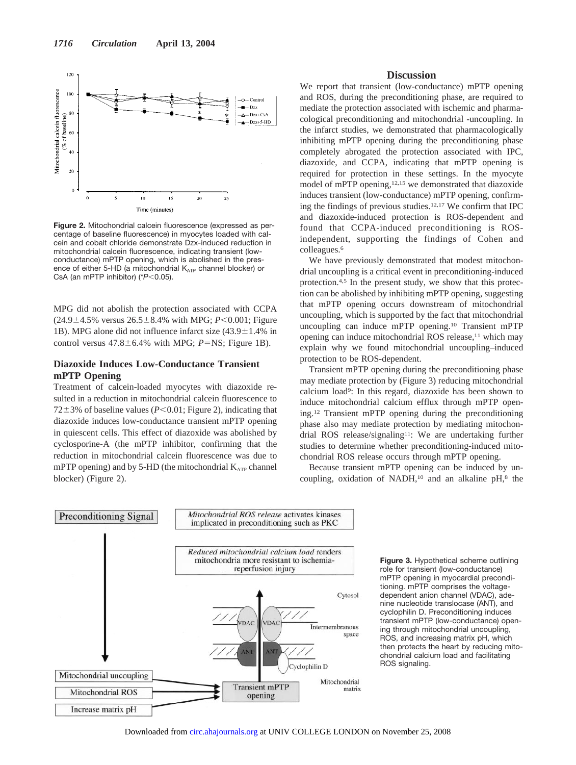

**Figure 2.** Mitochondrial calcein fluorescence (expressed as percentage of baseline fluorescence) in myocytes loaded with calcein and cobalt chloride demonstrate Dzx-induced reduction in mitochondrial calcein fluorescence, indicating transient (lowconductance) mPTP opening, which is abolished in the presence of either 5-HD (a mitochondrial  $K_{ATP}$  channel blocker) or CsA (an mPTP inhibitor) (\**P*-0.05).

MPG did not abolish the protection associated with CCPA  $(24.9 \pm 4.5\%$  versus  $26.5 \pm 8.4\%$  with MPG;  $P < 0.001$ ; Figure 1B). MPG alone did not influence infarct size  $(43.9 \pm 1.4\%$  in control versus  $47.8 \pm 6.4\%$  with MPG;  $P = NS$ ; Figure 1B).

# **Diazoxide Induces Low-Conductance Transient mPTP Opening**

Treatment of calcein-loaded myocytes with diazoxide resulted in a reduction in mitochondrial calcein fluorescence to  $72 \pm 3\%$  of baseline values ( $P \le 0.01$ ; Figure 2), indicating that diazoxide induces low-conductance transient mPTP opening in quiescent cells. This effect of diazoxide was abolished by cyclosporine-A (the mPTP inhibitor, confirming that the reduction in mitochondrial calcein fluorescence was due to mPTP opening) and by 5-HD (the mitochondrial  $K_{ATP}$  channel blocker) (Figure 2).

# **Discussion**

We report that transient (low-conductance) mPTP opening and ROS, during the preconditioning phase, are required to mediate the protection associated with ischemic and pharmacological preconditioning and mitochondrial -uncoupling. In the infarct studies, we demonstrated that pharmacologically inhibiting mPTP opening during the preconditioning phase completely abrogated the protection associated with IPC, diazoxide, and CCPA, indicating that mPTP opening is required for protection in these settings. In the myocyte model of mPTP opening,<sup>12,15</sup> we demonstrated that diazoxide induces transient (low-conductance) mPTP opening, confirming the findings of previous studies.12,17 We confirm that IPC and diazoxide-induced protection is ROS-dependent and found that CCPA-induced preconditioning is ROSindependent, supporting the findings of Cohen and colleagues.6

We have previously demonstrated that modest mitochondrial uncoupling is a critical event in preconditioning-induced protection.4,5 In the present study, we show that this protection can be abolished by inhibiting mPTP opening, suggesting that mPTP opening occurs downstream of mitochondrial uncoupling, which is supported by the fact that mitochondrial uncoupling can induce mPTP opening.10 Transient mPTP opening can induce mitochondrial ROS release,<sup>11</sup> which may explain why we found mitochondrial uncoupling–induced protection to be ROS-dependent.

Transient mPTP opening during the preconditioning phase may mediate protection by (Figure 3) reducing mitochondrial calcium load9: In this regard, diazoxide has been shown to induce mitochondrial calcium efflux through mPTP opening.12 Transient mPTP opening during the preconditioning phase also may mediate protection by mediating mitochondrial ROS release/signaling<sup>11</sup>: We are undertaking further studies to determine whether preconditioning-induced mitochondrial ROS release occurs through mPTP opening.

Because transient mPTP opening can be induced by uncoupling, oxidation of NADH, $10$  and an alkaline pH, $8$  the



**Figure 3.** Hypothetical scheme outlining role for transient (low-conductance) mPTP opening in myocardial preconditioning. mPTP comprises the voltagedependent anion channel (VDAC), adenine nucleotide translocase (ANT), and cyclophilin D. Preconditioning induces transient mPTP (low-conductance) opening through mitochondrial uncoupling, ROS, and increasing matrix pH, which then protects the heart by reducing mitochondrial calcium load and facilitating ROS signaling.